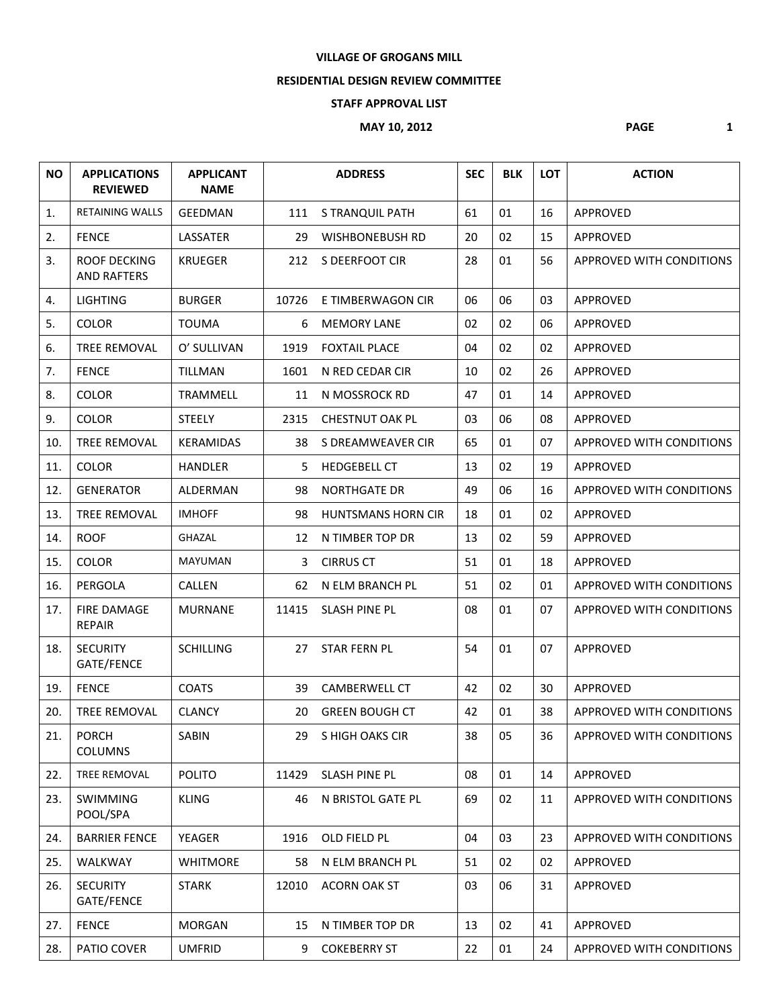## **VILLAGE OF GROGANS MILL**

## **RESIDENTIAL DESIGN REVIEW COMMITTEE**

## **STAFF APPROVAL LIST**

## **MAY 10, 2012 PAGE 1**

| <b>NO</b> | <b>APPLICATIONS</b><br><b>REVIEWED</b>    | <b>APPLICANT</b><br><b>NAME</b> |       | <b>ADDRESS</b>            | <b>SEC</b> | <b>BLK</b> | <b>LOT</b> | <b>ACTION</b>                   |
|-----------|-------------------------------------------|---------------------------------|-------|---------------------------|------------|------------|------------|---------------------------------|
| 1.        | <b>RETAINING WALLS</b>                    | <b>GEEDMAN</b>                  | 111   | S TRANQUIL PATH           | 61         | 01         | 16         | APPROVED                        |
| 2.        | <b>FENCE</b>                              | LASSATER                        | 29    | <b>WISHBONEBUSH RD</b>    | 20         | 02         | 15         | APPROVED                        |
| 3.        | <b>ROOF DECKING</b><br><b>AND RAFTERS</b> | <b>KRUEGER</b>                  | 212   | S DEERFOOT CIR            | 28         | 01         | 56         | APPROVED WITH CONDITIONS        |
| 4.        | <b>LIGHTING</b>                           | <b>BURGER</b>                   | 10726 | E TIMBERWAGON CIR         | 06         | 06         | 03         | <b>APPROVED</b>                 |
| 5.        | <b>COLOR</b>                              | <b>TOUMA</b>                    | 6     | <b>MEMORY LANE</b>        | 02         | 02         | 06         | <b>APPROVED</b>                 |
| 6.        | <b>TREE REMOVAL</b>                       | O' SULLIVAN                     | 1919  | <b>FOXTAIL PLACE</b>      | 04         | 02         | 02         | APPROVED                        |
| 7.        | <b>FENCE</b>                              | <b>TILLMAN</b>                  | 1601  | N RED CEDAR CIR           | 10         | 02         | 26         | APPROVED                        |
| 8.        | <b>COLOR</b>                              | TRAMMELL                        | 11    | N MOSSROCK RD             | 47         | 01         | 14         | APPROVED                        |
| 9.        | <b>COLOR</b>                              | <b>STEELY</b>                   | 2315  | <b>CHESTNUT OAK PL</b>    | 03         | 06         | 08         | APPROVED                        |
| 10.       | <b>TREE REMOVAL</b>                       | KERAMIDAS                       | 38    | S DREAMWEAVER CIR         | 65         | 01         | 07         | APPROVED WITH CONDITIONS        |
| 11.       | <b>COLOR</b>                              | <b>HANDLER</b>                  | 5     | <b>HEDGEBELL CT</b>       | 13         | 02         | 19         | <b>APPROVED</b>                 |
| 12.       | <b>GENERATOR</b>                          | ALDERMAN                        | 98    | <b>NORTHGATE DR</b>       | 49         | 06         | 16         | APPROVED WITH CONDITIONS        |
| 13.       | TREE REMOVAL                              | <b>IMHOFF</b>                   | 98    | <b>HUNTSMANS HORN CIR</b> | 18         | 01         | 02         | <b>APPROVED</b>                 |
| 14.       | <b>ROOF</b>                               | GHAZAL                          | 12    | N TIMBER TOP DR           | 13         | 02         | 59         | APPROVED                        |
| 15.       | <b>COLOR</b>                              | <b>MAYUMAN</b>                  | 3     | <b>CIRRUS CT</b>          | 51         | 01         | 18         | APPROVED                        |
| 16.       | PERGOLA                                   | <b>CALLEN</b>                   | 62    | N ELM BRANCH PL           | 51         | 02         | 01         | APPROVED WITH CONDITIONS        |
| 17.       | <b>FIRE DAMAGE</b><br><b>REPAIR</b>       | <b>MURNANE</b>                  | 11415 | <b>SLASH PINE PL</b>      | 08         | 01         | 07         | APPROVED WITH CONDITIONS        |
| 18.       | <b>SECURITY</b><br>GATE/FENCE             | <b>SCHILLING</b>                | 27    | STAR FERN PL              | 54         | 01         | 07         | APPROVED                        |
| 19.       | <b>FENCE</b>                              | <b>COATS</b>                    | 39    | <b>CAMBERWELL CT</b>      | 42         | 02         | 30         | APPROVED                        |
| 20.       | <b>TREE REMOVAL</b>                       | <b>CLANCY</b>                   | 20    | <b>GREEN BOUGH CT</b>     | 42         | 01         | 38         | <b>APPROVED WITH CONDITIONS</b> |
| 21.       | <b>PORCH</b><br><b>COLUMNS</b>            | SABIN                           | 29    | S HIGH OAKS CIR           | 38         | 05         | 36         | APPROVED WITH CONDITIONS        |
| 22.       | TREE REMOVAL                              | POLITO                          | 11429 | <b>SLASH PINE PL</b>      | 08         | 01         | 14         | APPROVED                        |
| 23.       | SWIMMING<br>POOL/SPA                      | <b>KLING</b>                    | 46    | N BRISTOL GATE PL         | 69         | 02         | 11         | <b>APPROVED WITH CONDITIONS</b> |
| 24.       | <b>BARRIER FENCE</b>                      | YEAGER                          | 1916  | OLD FIELD PL              | 04         | 03         | 23         | <b>APPROVED WITH CONDITIONS</b> |
| 25.       | WALKWAY                                   | <b>WHITMORE</b>                 | 58    | N ELM BRANCH PL           | 51         | 02         | 02         | APPROVED                        |
| 26.       | <b>SECURITY</b><br>GATE/FENCE             | <b>STARK</b>                    | 12010 | <b>ACORN OAK ST</b>       | 03         | 06         | 31         | APPROVED                        |
| 27.       | <b>FENCE</b>                              | <b>MORGAN</b>                   | 15    | N TIMBER TOP DR           | 13         | 02         | 41         | APPROVED                        |
| 28.       | PATIO COVER                               | <b>UMFRID</b>                   | 9     | <b>COKEBERRY ST</b>       | 22         | 01         | 24         | APPROVED WITH CONDITIONS        |